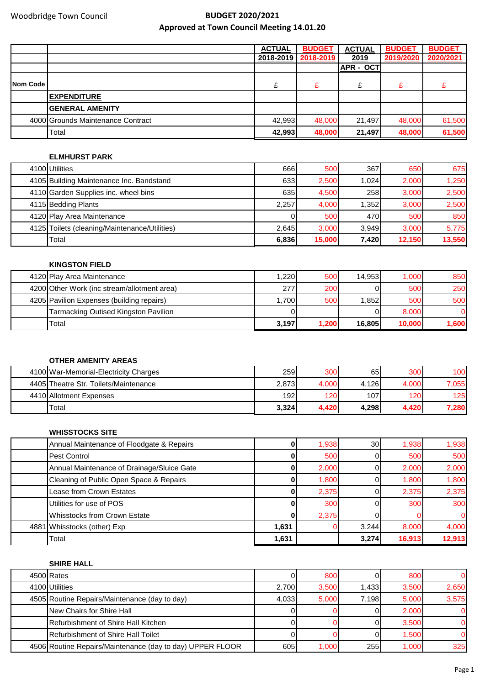|          |                                   | <b>ACTUAL</b> | <b>BUDGET</b> | <b>ACTUAL</b> | <b>BUDGET</b> | <b>BUDGET</b> |
|----------|-----------------------------------|---------------|---------------|---------------|---------------|---------------|
|          |                                   | 2018-2019     | 2018-2019     | 2019          | 2019/2020     | 2020/2021     |
|          |                                   |               |               | APR - OCT     |               |               |
| Nom Code |                                   |               | £             |               | £             |               |
|          | <b>IEXPENDITURE</b>               |               |               |               |               |               |
|          | <b>GENERAL AMENITY</b>            |               |               |               |               |               |
|          | 4000 Grounds Maintenance Contract | 42.993        | 48,000        | 21,497        | 48,000        | 61,500        |
|          | Total                             | 42.993        | 48,000        | 21,497        | 48,000        | 61,500        |

## **ELMHURST PARK**

| 4100 Utilities                                | 666   | 500    | 367   | 650    | 675    |
|-----------------------------------------------|-------|--------|-------|--------|--------|
| 4105 Building Maintenance Inc. Bandstand      | 633I  | 2,500  | 1.024 | 2,000  | 1,250  |
| 4110 Garden Supplies inc. wheel bins          | 635   | 4,500  | 258   | 3,000  | 2,500  |
| 4115 Bedding Plants                           | 2,257 | 4,000  | 1,352 | 3,000  | 2,500  |
| 4120 Play Area Maintenance                    |       | 500    | 470   | 500    | 850    |
| 4125 Toilets (cleaning/Maintenance/Utilities) | 2,645 | 3,000  | 3.949 | 3,000  | 5,775  |
| Total                                         | 6,836 | 15,000 | 7.420 | 12,150 | 13,550 |

## **KINGSTON FIELD**

| 4120 Play Area Maintenance                  | 1.220 | 500   | 14.953 | 1.000  | 850   |
|---------------------------------------------|-------|-------|--------|--------|-------|
| 4200 Other Work (inc stream/allotment area) | 277   | 200   |        | 500    | 250   |
| 4205 Pavilion Expenses (building repairs)   | 1.700 | 500   | 1.852  | 500    | 500   |
| Tarmacking Outised Kingston Pavilion        |       |       |        | 8,000  |       |
| Total                                       | 3,197 | 1,200 | 16.805 | 10,000 | 1,600 |

## **OTHER AMENITY AREAS**

| 4100 War-Memorial-Electricity Charges | 259              | 300   | 65    | 300   | 100 <sub>l</sub> |
|---------------------------------------|------------------|-------|-------|-------|------------------|
| 4405 Theatre Str. Toilets/Maintenance | 2,873            | 4.000 | 4,126 | 4,000 | 7.055            |
| 4410 Allotment Expenses               | 192 <sub>l</sub> | 120   | 107   | 120   | 125              |
| 'Total                                | 3,324            | 4,420 | 4.298 | 4.420 | 7,280            |

## **WHISSTOCKS SITE**

| Annual Maintenance of Floodgate & Repairs  |       | 1,938 | 30 <sup>l</sup> | 1,938  | 1,938  |
|--------------------------------------------|-------|-------|-----------------|--------|--------|
| Pest Control                               |       | 500   |                 | 500    | 500    |
| Annual Maintenance of Drainage/Sluice Gate |       | 2,000 |                 | 2,000  | 2,000  |
| Cleaning of Public Open Space & Repairs    |       | 1,800 |                 | 1,800  | 1,800  |
| Lease from Crown Estates                   |       | 2,375 |                 | 2,375  | 2,375  |
| Utilities for use of POS                   |       | 300   |                 | 300    | 300    |
| <b>Whisstocks from Crown Estate</b>        |       | 2,375 |                 |        |        |
| 4881 Whisstocks (other) Exp                | 1.631 |       | 3.244           | 8,000  | 4,000  |
| Total                                      | 1,631 |       | 3,274           | 16,913 | 12,913 |

## **SHIRE HALL**

| 4500 Rates                                                |       | 800   |       | 800   |       |
|-----------------------------------------------------------|-------|-------|-------|-------|-------|
| 4100 Utilities                                            | 2,700 | 3,500 | 1.433 | 3.500 | 2,650 |
| 4505 Routine Repairs/Maintenance (day to day)             | 4,033 | 5,000 | 7.198 | 5.000 | 3,575 |
| New Chairs for Shire Hall                                 |       |       |       | 2.000 |       |
| Refurbishment of Shire Hall Kitchen                       |       |       |       | 3.500 |       |
| <b>I</b> Refurbishment of Shire Hall Toilet               |       |       |       | 1.500 |       |
| 4506 Routine Repairs/Maintenance (day to day) UPPER FLOOR | 605   | 1,000 | 255   | 1,000 | 325   |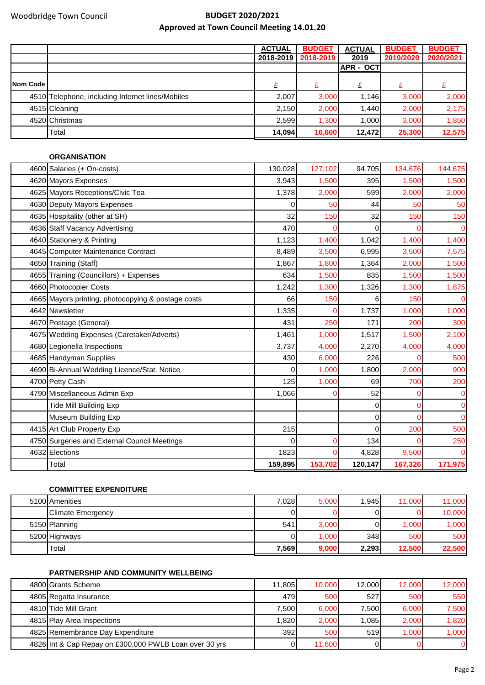|          |                                                  | <b>ACTUAL</b> | <b>BUDGET</b> | <b>ACTUAL</b>     | <b>BUDGET</b> | <b>BUDGET</b> |
|----------|--------------------------------------------------|---------------|---------------|-------------------|---------------|---------------|
|          |                                                  | 2018-2019     | 2018-2019     | 2019              | 2019/2020     | 2020/2021     |
|          |                                                  |               |               | <b>IAPR - OCT</b> |               |               |
| Nom Code |                                                  |               | £             |                   | £             |               |
|          | 4510 Telephone, including Internet lines/Mobiles | 2,007         | 3,000         | 1,146             | 3,000         | 2,000         |
|          | 4515 Cleaning                                    | 2,150         | 2,000         | 1.440             | 2,000         | 2,175         |
|          | 4520 Christmas                                   | 2,599         | 1,300         | 1.000             | 3.000         | 1,850         |
|          | Total                                            | 14,094        | 16,600        | 12,472            | 25,300        | 12,575        |

| <b>ORGANISATION</b>                                |         |         |         |         |                |
|----------------------------------------------------|---------|---------|---------|---------|----------------|
| 4600 Salaries (+ On-costs)                         | 130,028 | 127,102 | 94,705  | 134,676 | 144,675        |
| 4620 Mayors Expenses                               | 3,943   | 1,500   | 395     | 1,500   | 1,500          |
| 4625 Mayors Receptions/Civic Tea                   | 1,378   | 2,000   | 599     | 2,000   | 2,000          |
| 4630 Deputy Mayors Expenses                        | 0       | 50      | 44      | 50      | 50             |
| 4635 Hospitality (other at SH)                     | 32      | 150     | 32      | 150     | 150            |
| 4636 Staff Vacancy Advertising                     | 470     |         | 0       |         | $\overline{0}$ |
| 4640 Stationery & Printing                         | 1,123   | 1,400   | 1,042   | 1,400   | 1,400          |
| 4645 Computer Maintenance Contract                 | 8,489   | 3,500   | 6,995   | 3,500   | 7,575          |
| 4650 Training (Staff)                              | 1,867   | 1,800   | 1,364   | 2,000   | 1,500          |
| 4655 Training (Councillors) + Expenses             | 634     | 1,500   | 835     | 1,500   | 1,500          |
| 4660 Photocopier Costs                             | 1,242   | 1,300   | 1,326   | 1,300   | 1,875          |
| 4665 Mayors printing, photocopying & postage costs | 66      | 150     | 6       | 150     | 0              |
| 4642 Newsletter                                    | 1,335   |         | 1,737   | 1,000   | 1,000          |
| 4670 Postage (General)                             | 431     | 250     | 171     | 200     | 300            |
| 4675 Wedding Expenses (Caretaker/Adverts)          | 1,461   | 1,000   | 1,517   | 1,500   | 2,100          |
| 4680 Legionella Inspections                        | 3,737   | 4,000   | 2,270   | 4,000   | 4,000          |
| 4685 Handyman Supplies                             | 430     | 6,000   | 226     |         | 500            |
| 4690 Bi-Annual Wedding Licence/Stat. Notice        | 0       | 1,000   | 1,800   | 2,000   | 900            |
| 4700 Petty Cash                                    | 125     | 1,000   | 69      | 700     | 200            |
| 4790 Miscellaneous Admin Exp                       | 1,066   |         | 52      |         | 0              |
| <b>Tide Mill Building Exp</b>                      |         |         | 0       |         | $\mathbf{0}$   |
| Museum Building Exp                                |         |         | 0       | ∩       | $\overline{O}$ |
| 4415 Art Club Property Exp                         | 215     |         | 0       | 200     | 500            |
| 4750 Surgeries and External Council Meetings       | 0       | 0       | 134     |         | 250            |
| 4632 Elections                                     | 1823    |         | 4,828   | 9,500   | $\Omega$       |
| Total                                              | 159,895 | 153,702 | 120,147 | 167,326 | 171,975        |

## **COMMITTEE EXPENDITURE**

| 5100 Amenities           | 7,028 | 5,000 | 1.945 | 11,000 | 11,000            |
|--------------------------|-------|-------|-------|--------|-------------------|
| <b>Climate Emergency</b> |       |       | ΟI    |        | 10,000            |
| 5150 Planning            | 541   | 3,000 | Οl    | 1.000  | .000 <sub>1</sub> |
| 5200 Highways            | Οl    | ,000  | 348   | 500    | 500               |
| 'Total                   | 7,569 | 9,000 | 2,293 | 12,500 | 22,500            |

## **PARTNERSHIP AND COMMUNITY WELLBEING**

| 4800 Grants Scheme                                     | 11.805       | 10.000 | 12,000 | 12,000 | 12,000 |
|--------------------------------------------------------|--------------|--------|--------|--------|--------|
| 4805 Regatta Insurance                                 | 479 <b>I</b> | 500    | 527    | 500    | 550    |
| 4810 Tide Mill Grant                                   | 7.500        | 6,000  | 7.500  | 6,000  | 7,500  |
| 4815 Play Area Inspections                             | 1,820        | 2,000  | 1.085  | 2,000  | 1,820  |
| 4825 Remembrance Day Expenditure                       | 392          | 500    | 519    | 1.000  | 1,000  |
| 4826 Int & Cap Repay on £300,000 PWLB Loan over 30 yrs |              | 11,600 |        |        |        |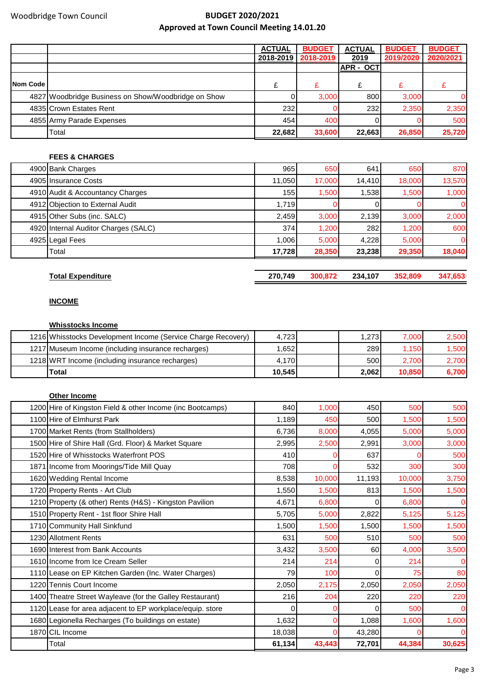|          |                                                     | <b>ACTUAL</b> | <b>BUDGET</b> | <b>ACTUAL</b>    | <b>BUDGET</b> | <b>BUDGET</b> |
|----------|-----------------------------------------------------|---------------|---------------|------------------|---------------|---------------|
|          |                                                     | 2018-2019     | 2018-2019     | 2019             | 2019/2020     | 2020/2021     |
|          |                                                     |               |               | <b>APR - OCT</b> |               |               |
| Nom Code |                                                     |               |               |                  |               |               |
|          | 4827 Woodbridge Business on Show/Woodbridge on Show |               | 3,000         | 800              | 3,000         |               |
|          | 4835 Crown Estates Rent                             | 232           |               | 232              | 2,350         | 2,350         |
|          | 4855 Army Parade Expenses                           | 454           | 400           |                  |               | 500           |
|          | Total                                               | 22,682        | 33,600        | 22,663           | 26,850        | 25,720        |

## **FEES & CHARGES**

| 4900 Bank Charges                    | 965    | 650    | 641    | 650    | 870      |
|--------------------------------------|--------|--------|--------|--------|----------|
| 4905 Insurance Costs                 | 11,050 | 17,000 | 14,410 | 18,000 | 13,570   |
| 4910 Audit & Accountancy Charges     | 155    | 1,500  | 1,538  | 1,500  | 1,000    |
| 4912 Objection to External Audit     | 1.719  |        |        |        | $\Omega$ |
| 4915 Other Subs (inc. SALC)          | 2,459  | 3,000  | 2,139  | 3,000  | 2,000    |
| 4920 Internal Auditor Charges (SALC) | 374    | 1,200  | 282    | 1,200  | 600      |
| 4925 Legal Fees                      | 1,006  | 5,000  | 4.228  | 5.000  | $\Omega$ |
| Total                                | 17.728 | 28,350 | 23.238 | 29,350 | 18,040   |

**Total Expenditure 270,749 300,872 234,107 352,809 347,653**

### **INCOME**

## **Whisstocks Income**

| 1216 Whisstocks Development Income (Service Charge Recovery) | 4.723  | 1.273 | 7.000  | 2,500 |
|--------------------------------------------------------------|--------|-------|--------|-------|
| 1217 Museum Income (including insurance recharges)           | 1.6521 | 289   | 1.150  | 1,500 |
| 1218 WRT Income (including insurance recharges)              | 4.170  | 500   | 2.700  | 2,700 |
| Total                                                        | 10.545 | 2.062 | 10.850 | 6,700 |

| <b>Other Income</b>                                        |          |        |          |        |                |
|------------------------------------------------------------|----------|--------|----------|--------|----------------|
| 1200 Hire of Kingston Field & other Income (inc Bootcamps) | 840      | 1,000  | 450      | 500    | 500            |
| 1100 Hire of Elmhurst Park                                 | 1,189    | 450    | 500      | 1,500  | 1,500          |
| 1700 Market Rents (from Stallholders)                      | 6,736    | 8,000  | 4,055    | 5,000  | 5,000          |
| 1500 Hire of Shire Hall (Grd. Floor) & Market Square       | 2,995    | 2,500  | 2,991    | 3,000  | 3,000          |
| 1520 Hire of Whisstocks Waterfront POS                     | 410      |        | 637      |        | 500            |
| 1871 Income from Moorings/Tide Mill Quay                   | 708      | ŋ      | 532      | 300    | 300            |
| 1620 Wedding Rental Income                                 | 8,538    | 10,000 | 11,193   | 10,000 | 3,750          |
| 1720 Property Rents - Art Club                             | 1,550    | 1,500  | 813      | 1,500  | 1,500          |
| 1210 Property (& other) Rents (H&S) - Kingston Pavilion    | 4,671    | 6,800  | 0        | 6.800  | $\overline{0}$ |
| 1510 Property Rent - 1st floor Shire Hall                  | 5,705    | 5,000  | 2,822    | 5,125  | 5,125          |
| 1710 Community Hall Sinkfund                               | 1,500    | 1,500  | 1,500    | 1,500  | 1,500          |
| 1230 Allotment Rents                                       | 631      | 500    | 510      | 500    | 500            |
| 1690 Interest from Bank Accounts                           | 3,432    | 3,500  | 60       | 4,000  | 3,500          |
| 1610 Income from Ice Cream Seller                          | 214      | 214    | 0        | 214    | $\Omega$       |
| 1110 Lease on EP Kitchen Garden (Inc. Water Charges)       | 79       | 100    | $\Omega$ | 75     | 80             |
| 1220 Tennis Court Income                                   | 2,050    | 2,175  | 2,050    | 2,050  | 2,050          |
| 1400 Theatre Street Wayleave (for the Galley Restaurant)   | 216      | 204    | 220      | 220    | 220            |
| 1120 Lease for area adjacent to EP workplace/equip. store  | $\Omega$ |        | 0        | 500    | $\Omega$       |
| 1680 Legionella Recharges (To buildings on estate)         | 1,632    |        | 1,088    | 1,600  | 1,600          |
| 1870 CIL Income                                            | 18,038   |        | 43,280   |        | $\overline{0}$ |
| Total                                                      | 61,134   | 43,443 | 72,701   | 44,384 | 30,625         |